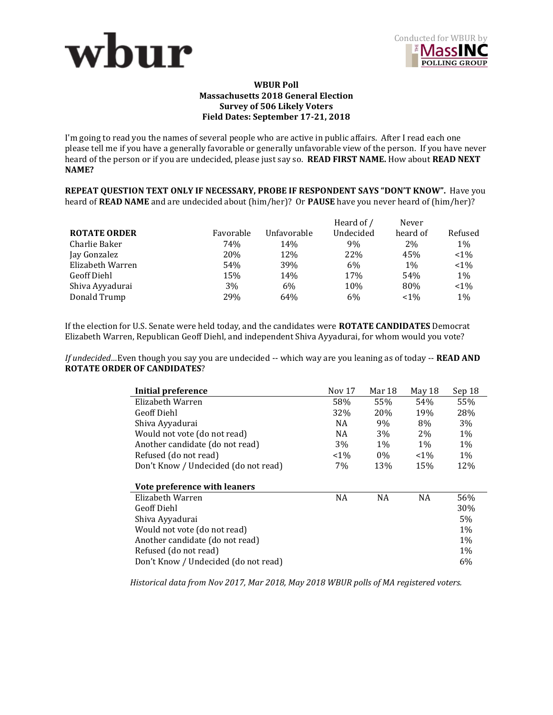



## **WBUR Poll Massachusetts 2018 General Election Survey of 506 Likely Voters Field Dates: September 17-21, 2018**

I'm going to read you the names of several people who are active in public affairs. After I read each one please tell me if you have a generally favorable or generally unfavorable view of the person. If you have never heard of the person or if you are undecided, please just say so. **READ FIRST NAME.** How about **READ NEXT NAME?** 

**REPEAT QUESTION TEXT ONLY IF NECESSARY, PROBE IF RESPONDENT SAYS "DON'T KNOW".** Have you heard of **READ NAME** and are undecided about (him/her)? Or **PAUSE** have you never heard of (him/her)?

|                     |           |             | Heard of / | Never    |         |
|---------------------|-----------|-------------|------------|----------|---------|
| <b>ROTATE ORDER</b> | Favorable | Unfavorable | Undecided  | heard of | Refused |
| Charlie Baker       | 74%       | 14%         | 9%         | $2\%$    | 1%      |
| Jay Gonzalez        | 20%       | 12%         | 22%        | 45%      | $< 1\%$ |
| Elizabeth Warren    | 54%       | 39%         | 6%         | 1%       | $< 1\%$ |
| Geoff Diehl         | 15%       | 14%         | 17%        | 54%      | 1%      |
| Shiva Ayyadurai     | 3%        | 6%          | 10%        | 80%      | $< 1\%$ |
| Donald Trump        | 29%       | 64%         | 6%         | $< 1\%$  | $1\%$   |

If the election for U.S. Senate were held today, and the candidates were **ROTATE CANDIDATES** Democrat Elizabeth Warren, Republican Geoff Diehl, and independent Shiva Ayyadurai, for whom would you vote?

*If undecided…*Even though you say you are undecided -- which way are you leaning as of today -- **READ AND ROTATE ORDER OF CANDIDATES**?

| <b>Initial preference</b>            | <b>Nov 17</b> | Mar 18    | May 18    | Sep 18 |
|--------------------------------------|---------------|-----------|-----------|--------|
| Elizabeth Warren                     | 58%           | 55%       | 54%       | 55%    |
| <b>Geoff Diehl</b>                   | 32%           | 20%       | 19%       | 28%    |
| Shiva Ayyadurai                      | NA            | 9%        | 8%        | 3%     |
| Would not vote (do not read)         | <b>NA</b>     | 3%        | 2%        | 1%     |
| Another candidate (do not read)      | 3%            | $1\%$     | $1\%$     | 1%     |
| Refused (do not read)                | $< 1\%$       | $0\%$     | $< 1\%$   | 1%     |
| Don't Know / Undecided (do not read) | 7%            | 13%       | 15%       | 12%    |
|                                      |               |           |           |        |
| Vote preference with leaners         |               |           |           |        |
| Elizabeth Warren                     | <b>NA</b>     | <b>NA</b> | <b>NA</b> | 56%    |
| <b>Geoff Diehl</b>                   |               |           |           | 30%    |
| Shiva Ayyadurai                      |               |           |           | 5%     |
| Would not vote (do not read)         |               |           |           | 1%     |
| Another candidate (do not read)      |               |           |           | 1%     |
| Refused (do not read)                |               |           |           | 1%     |
| Don't Know / Undecided (do not read) |               |           |           | 6%     |

*Historical data from Nov 2017, Mar 2018, May 2018 WBUR polls of MA registered voters.*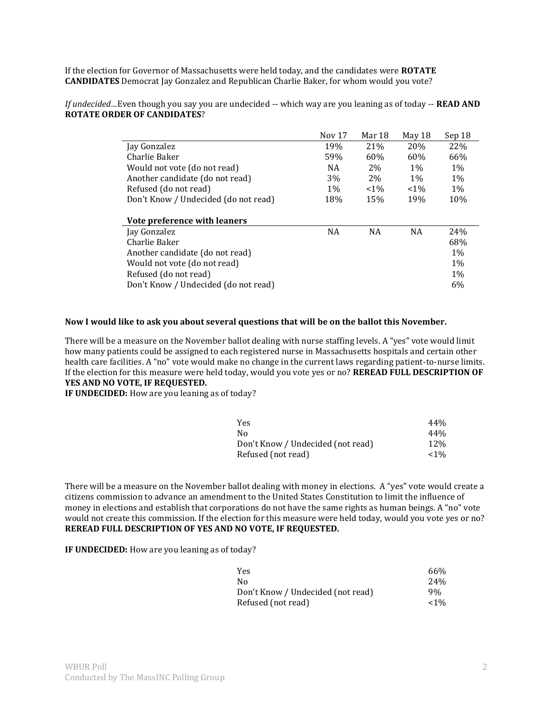If the election for Governor of Massachusetts were held today, and the candidates were **ROTATE CANDIDATES** Democrat Jay Gonzalez and Republican Charlie Baker, for whom would you vote?

*If undecided…*Even though you say you are undecided -- which way are you leaning as of today -- **READ AND ROTATE ORDER OF CANDIDATES**?

|                                      | Nov 17    | Mar 18    | May 18     | Sep 18 |
|--------------------------------------|-----------|-----------|------------|--------|
| Jay Gonzalez                         | 19%       | 21%       | <b>20%</b> | 22%    |
| Charlie Baker                        | 59%       | 60%       | 60%        | 66%    |
| Would not vote (do not read)         | NA        | 2%        | $1\%$      | $1\%$  |
| Another candidate (do not read)      | 3%        | 2%        | $1\%$      | $1\%$  |
| Refused (do not read)                | $1\%$     | $< 1\%$   | $< 1\%$    | $1\%$  |
| Don't Know / Undecided (do not read) | 18%       | 15%       | 19%        | 10%    |
|                                      |           |           |            |        |
| Vote preference with leaners         |           |           |            |        |
| Jay Gonzalez                         | <b>NA</b> | <b>NA</b> | NA         | 24%    |
| Charlie Baker                        |           |           |            | 68%    |
| Another candidate (do not read)      |           |           |            | $1\%$  |
| Would not vote (do not read)         |           |           |            | $1\%$  |
| Refused (do not read)                |           |           |            | $1\%$  |
| Don't Know / Undecided (do not read) |           |           |            | 6%     |

## **Now I would like to ask you about several questions that will be on the ballot this November.**

There will be a measure on the November ballot dealing with nurse staffing levels. A "yes" vote would limit how many patients could be assigned to each registered nurse in Massachusetts hospitals and certain other health care facilities. A "no" vote would make no change in the current laws regarding patient-to-nurse limits. If the election for this measure were held today, would you vote yes or no? **REREAD FULL DESCRIPTION OF YES AND NO VOTE, IF REQUESTED.** 

**IF UNDECIDED:** How are you leaning as of today?

| <b>Yes</b>                        | 44%   |
|-----------------------------------|-------|
| Nο                                | 44%   |
| Don't Know / Undecided (not read) | 12%   |
| Refused (not read)                | $1\%$ |

There will be a measure on the November ballot dealing with money in elections. A "yes" vote would create a citizens commission to advance an amendment to the United States Constitution to limit the influence of money in elections and establish that corporations do not have the same rights as human beings. A "no" vote would not create this commission. If the election for this measure were held today, would you vote yes or no? **REREAD FULL DESCRIPTION OF YES AND NO VOTE, IF REQUESTED.** 

**IF UNDECIDED:** How are you leaning as of today?

| Yes                               | 66%             |
|-----------------------------------|-----------------|
| No                                | 24 <sub>%</sub> |
| Don't Know / Undecided (not read) | 9%              |
| Refused (not read)                | ${<}1\%$        |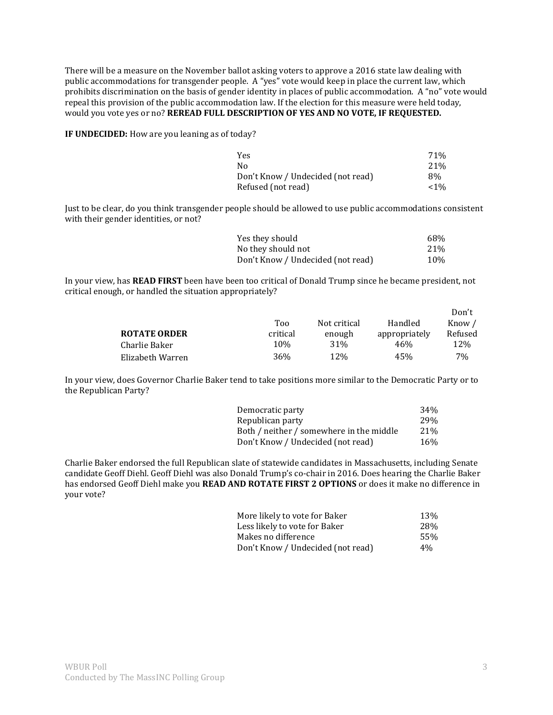There will be a measure on the November ballot asking voters to approve a 2016 state law dealing with public accommodations for transgender people. A "yes" vote would keep in place the current law, which prohibits discrimination on the basis of gender identity in places of public accommodation. A "no" vote would repeal this provision of the public accommodation law. If the election for this measure were held today, would you vote yes or no? **REREAD FULL DESCRIPTION OF YES AND NO VOTE, IF REQUESTED.** 

**IF UNDECIDED:** How are you leaning as of today?

| Yes                               | 71%   |
|-----------------------------------|-------|
| N٥                                | 21%   |
| Don't Know / Undecided (not read) | 8%    |
| Refused (not read)                | $1\%$ |

Just to be clear, do you think transgender people should be allowed to use public accommodations consistent with their gender identities, or not?

| Yes they should                   | 68% |
|-----------------------------------|-----|
| No they should not                | 21% |
| Don't Know / Undecided (not read) | 10% |

In your view, has **READ FIRST** been have been too critical of Donald Trump since he became president, not critical enough, or handled the situation appropriately?

|                     |          |                 |               | Don't   |
|---------------------|----------|-----------------|---------------|---------|
|                     | Too      | Not critical    | Handled       | Know /  |
| <b>ROTATE ORDER</b> | critical | enough          | appropriately | Refused |
| Charlie Baker       | 10%      | 31 <sup>%</sup> | 46%           | 12\%    |
| Elizabeth Warren    | 36%      | 12%             | 45%           | 7%      |

In your view, does Governor Charlie Baker tend to take positions more similar to the Democratic Party or to the Republican Party?

| Democratic party                         | 34%        |
|------------------------------------------|------------|
| Republican party                         | <b>29%</b> |
| Both / neither / somewhere in the middle | 21%        |
| Don't Know / Undecided (not read)        | 16%        |

Charlie Baker endorsed the full Republican slate of statewide candidates in Massachusetts, including Senate candidate Geoff Diehl. Geoff Diehl was also Donald Trump's co-chair in 2016. Does hearing the Charlie Baker has endorsed Geoff Diehl make you **READ AND ROTATE FIRST 2 OPTIONS** or does it make no difference in your vote?

| More likely to vote for Baker     | 13% |
|-----------------------------------|-----|
| Less likely to vote for Baker     | 28% |
| Makes no difference               | 55% |
| Don't Know / Undecided (not read) | 4%  |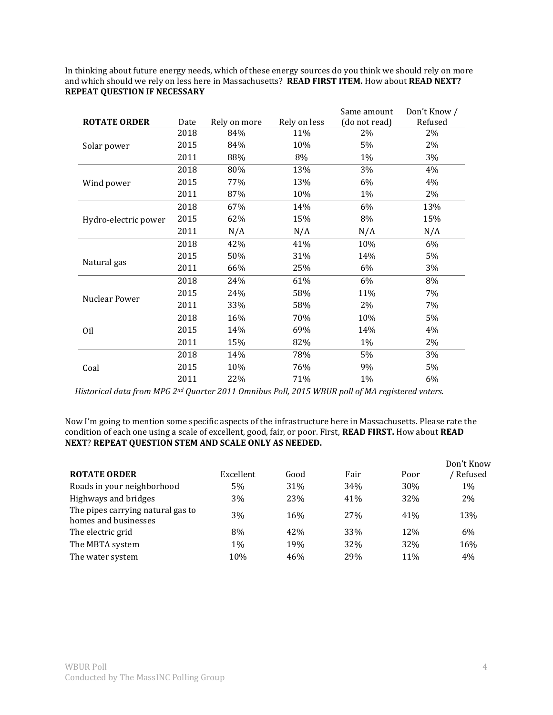In thinking about future energy needs, which of these energy sources do you think we should rely on more and which should we rely on less here in Massachusetts? **READ FIRST ITEM.** How about **READ NEXT? REPEAT QUESTION IF NECESSARY** 

|                      |      |              |              | Same amount   | Don't Know / |
|----------------------|------|--------------|--------------|---------------|--------------|
| <b>ROTATE ORDER</b>  | Date | Rely on more | Rely on less | (do not read) | Refused      |
|                      | 2018 | 84%          | 11%          | 2%            | 2%           |
| Solar power          | 2015 | 84%          | 10%          | 5%            | 2%           |
|                      | 2011 | 88%          | 8%           | 1%            | 3%           |
|                      | 2018 | 80%          | 13%          | 3%            | 4%           |
| Wind power           | 2015 | 77%          | 13%          | 6%            | 4%           |
|                      | 2011 | 87%          | 10%          | 1%            | 2%           |
|                      | 2018 | 67%          | 14%          | 6%            | 13%          |
| Hydro-electric power | 2015 | 62%          | 15%          | 8%            | 15%          |
|                      | 2011 | N/A          | N/A          | N/A           | N/A          |
|                      | 2018 | 42%          | 41%          | 10%           | 6%           |
|                      | 2015 | 50%          | 31%          | 14%           | 5%           |
| Natural gas          | 2011 | 66%          | 25%          | 6%            | 3%           |
|                      | 2018 | 24%          | 61%          | 6%            | 8%           |
| Nuclear Power        | 2015 | 24%          | 58%          | 11%           | 7%           |
|                      | 2011 | 33%          | 58%          | 2%            | 7%           |
|                      | 2018 | 16%          | 70%          | 10%           | 5%           |
| Oil                  | 2015 | 14%          | 69%          | 14%           | 4%           |
|                      | 2011 | 15%          | 82%          | 1%            | 2%           |
|                      | 2018 | 14%          | 78%          | 5%            | 3%           |
| Coal                 | 2015 | 10%          | 76%          | 9%            | 5%           |
|                      | 2011 | 22%          | 71%          | 1%            | 6%           |

*Historical data from MPG 2nd Quarter 2011 Omnibus Poll, 2015 WBUR poll of MA registered voters.* 

Now I'm going to mention some specific aspects of the infrastructure here in Massachusetts. Please rate the condition of each one using a scale of excellent, good, fair, or poor. First, **READ FIRST.** How about **READ NEXT**? **REPEAT QUESTION STEM AND SCALE ONLY AS NEEDED.** 

|                                                           |           |      |                 |      | Don't Know |
|-----------------------------------------------------------|-----------|------|-----------------|------|------------|
| <b>ROTATE ORDER</b>                                       | Excellent | Good | Fair            | Poor | Refused    |
| Roads in your neighborhood                                | 5%        | 31%  | 34%             | 30%  | 1%         |
| Highways and bridges                                      | 3%        | 23%  | 41%             | 32%  | 2%         |
| The pipes carrying natural gas to<br>homes and businesses | 3%        | 16%  | 27%             | 41%  | 13%        |
| The electric grid                                         | 8%        | 42%  | 33%             | 12%  | 6%         |
| The MBTA system                                           | $1\%$     | 19%  | 32%             | 32%  | 16%        |
| The water system                                          | 10%       | 46%  | 29 <sub>%</sub> | 11%  | 4%         |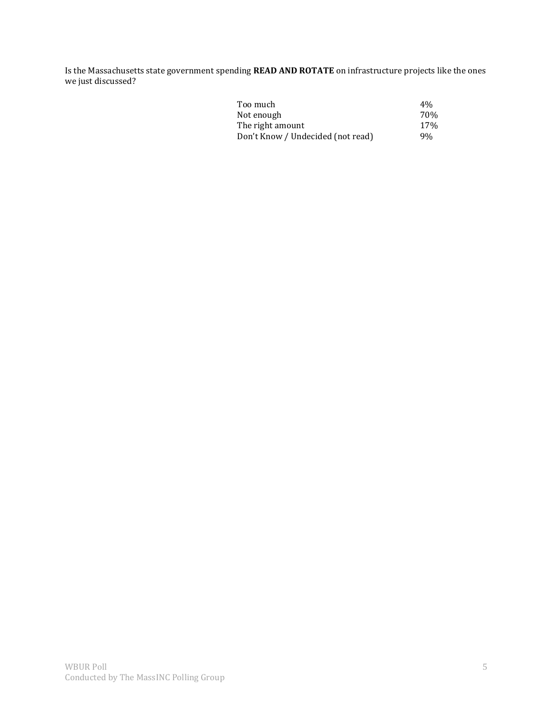Is the Massachusetts state government spending **READ AND ROTATE** on infrastructure projects like the ones we just discussed?

| Too much                          | $4\%$ |
|-----------------------------------|-------|
| Not enough                        | 70%   |
| The right amount                  | 17%   |
| Don't Know / Undecided (not read) | 9%    |